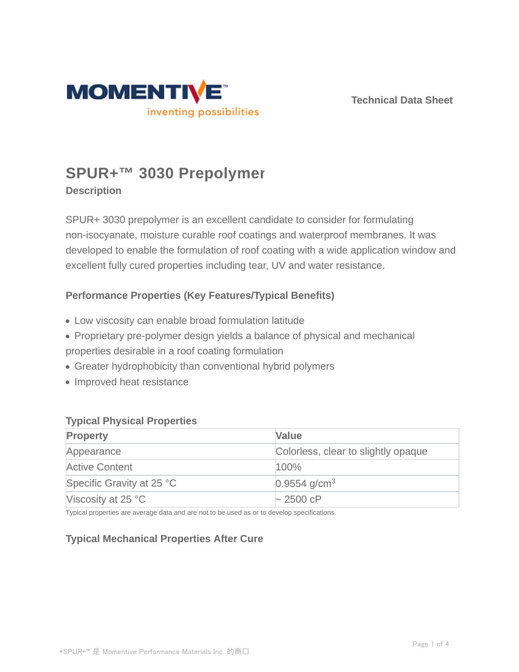

**Technical Data Sheet**

# **SPUR+™ 3030 Prepolymer**

## **Description**

SPUR+ 3030 prepolymer is an excellent candidate to consider for formulating non-isocyanate, moisture curable roof coatings and waterproof membranes. It was developed to enable the formulation of roof coating with a wide application window and excellent fully cured properties including tear, UV and water resistance.

## **Performance Properties (Key Features/Typical Benefits)**

- Low viscosity can enable broad formulation latitude
- Proprietary pre-polymer design yields a balance of physical and mechanical
- properties desirable in a roof coating formulation
- Greater hydrophobicity than conventional hybrid polymers
- Improved heat resistance

#### **Typical Physical Properties**

| <b>Property</b>             | Value                               |
|-----------------------------|-------------------------------------|
| Appearance                  | Colorless, clear to slightly opaque |
| <b>Active Content</b>       | 100%                                |
| Specific Gravity at 25 °C   | $0.9554$ g/cm <sup>3</sup>          |
| Viscosity at 25 $\degree$ C | $\sim$ 2500 cP                      |

Typical properties are average data and are not to be used as or to develop specifications.

# **Typical Mechanical Properties After Cure**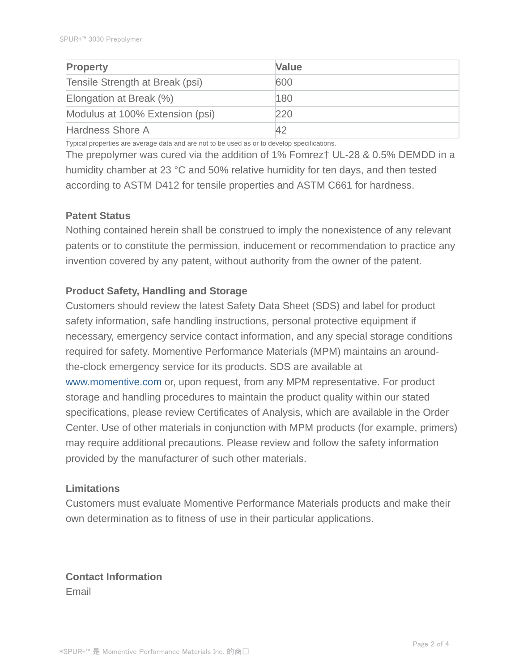| <b>Property</b>                 | Value |
|---------------------------------|-------|
| Tensile Strength at Break (psi) | 600   |
| Elongation at Break (%)         | 180   |
| Modulus at 100% Extension (psi) | 220   |
| Hardness Shore A                |       |

Typical properties are average data and are not to be used as or to develop specifications.

The prepolymer was cured via the addition of 1% Fomrez† UL-28 & 0.5% DEMDD in a humidity chamber at 23 °C and 50% relative humidity for ten days, and then tested according to ASTM D412 for tensile properties and ASTM C661 for hardness.

#### **Patent Status**

Nothing contained herein shall be construed to imply the nonexistence of any relevant patents or to constitute the permission, inducement or recommendation to practice any invention covered by any patent, without authority from the owner of the patent.

### **Product Safety, Handling and Storage**

Customers should review the latest Safety Data Sheet (SDS) and label for product safety information, safe handling instructions, personal protective equipment if necessary, emergency service contact information, and any special storage conditions required for safety. Momentive Performance Materials (MPM) maintains an aroundthe-clock emergency service for its products. SDS are available at www.momentive.com or, upon request, from any MPM representative. For product storage and handling procedures to maintain the product quality within our stated specifications, please review Certificates of Analysis, which are available in the Order Center. Use of other materials in conjunction with MPM products (for example, primers) may require additional precautions. Please review and follow the safety information provided by the manufacturer of such other materials.

#### **Limitations**

Customers must evaluate Momentive Performance Materials products and make their own determination as to fitness of use in their particular applications.

**Contact Information** Email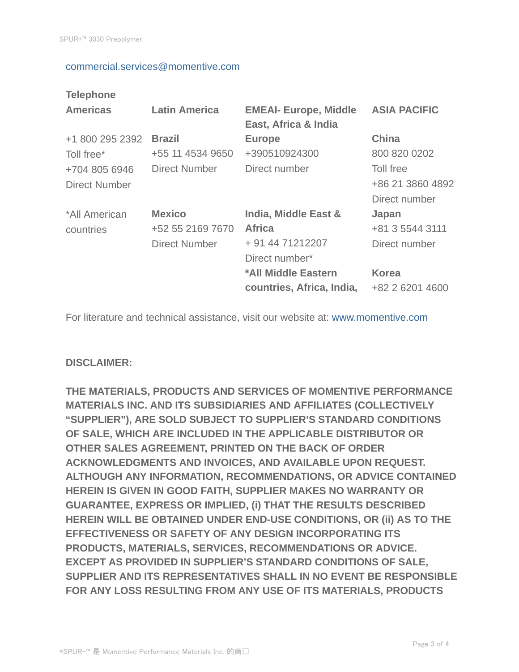#### commercial.services@momentive.com

## **Telephone**

| <b>Americas</b>                | <b>Latin America</b>                                      | <b>EMEAI- Europe, Middle</b><br>East, Africa & India                                                                            | <b>ASIA PACIFIC</b>                                                          |
|--------------------------------|-----------------------------------------------------------|---------------------------------------------------------------------------------------------------------------------------------|------------------------------------------------------------------------------|
| +1 800 295 2392<br>Toll free*  | <b>Brazil</b><br>+55 11 4534 9650                         | <b>Europe</b><br>+390510924300                                                                                                  | <b>China</b><br>800 820 0202                                                 |
| +704 805 6946<br>Direct Number | <b>Direct Number</b>                                      | Direct number                                                                                                                   | Toll free<br>+86 21 3860 4892<br>Direct number                               |
| *All American<br>countries     | <b>Mexico</b><br>+52 55 2169 7670<br><b>Direct Number</b> | India, Middle East &<br><b>Africa</b><br>+ 91 44 71212207<br>Direct number*<br>*All Middle Eastern<br>countries, Africa, India, | Japan<br>+81 3 5544 3111<br>Direct number<br><b>Korea</b><br>+82 2 6201 4600 |

For literature and technical assistance, visit our website at: www.momentive.com

#### **DISCLAIMER:**

**THE MATERIALS, PRODUCTS AND SERVICES OF MOMENTIVE PERFORMANCE MATERIALS INC. AND ITS SUBSIDIARIES AND AFFILIATES (COLLECTIVELY "SUPPLIER"), ARE SOLD SUBJECT TO SUPPLIER'S STANDARD CONDITIONS OF SALE, WHICH ARE INCLUDED IN THE APPLICABLE DISTRIBUTOR OR OTHER SALES AGREEMENT, PRINTED ON THE BACK OF ORDER ACKNOWLEDGMENTS AND INVOICES, AND AVAILABLE UPON REQUEST. ALTHOUGH ANY INFORMATION, RECOMMENDATIONS, OR ADVICE CONTAINED HEREIN IS GIVEN IN GOOD FAITH, SUPPLIER MAKES NO WARRANTY OR GUARANTEE, EXPRESS OR IMPLIED, (i) THAT THE RESULTS DESCRIBED HEREIN WILL BE OBTAINED UNDER END-USE CONDITIONS, OR (ii) AS TO THE EFFECTIVENESS OR SAFETY OF ANY DESIGN INCORPORATING ITS PRODUCTS, MATERIALS, SERVICES, RECOMMENDATIONS OR ADVICE. EXCEPT AS PROVIDED IN SUPPLIER'S STANDARD CONDITIONS OF SALE, SUPPLIER AND ITS REPRESENTATIVES SHALL IN NO EVENT BE RESPONSIBLE FOR ANY LOSS RESULTING FROM ANY USE OF ITS MATERIALS, PRODUCTS**